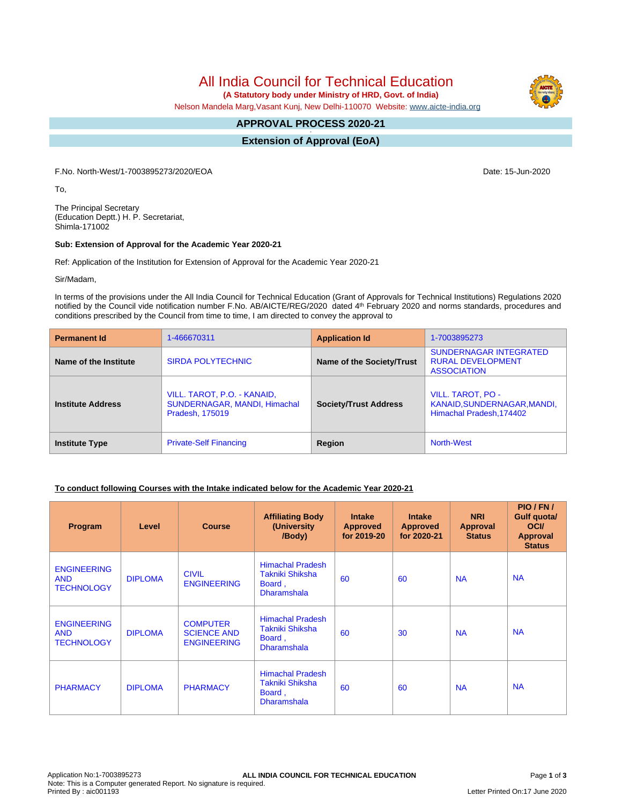# All India Council for Technical Education

 **(A Statutory body under Ministry of HRD, Govt. of India)**

Nelson Mandela Marg,Vasant Kunj, New Delhi-110070 Website: www.aicte-india.org

#### **APPROVAL PROCESS 2020-21 -**

**Extension of Approval (EoA)**

F.No. North-West/1-7003895273/2020/EOA Date: 15-Jun-2020

To,

The Principal Secretary (Education Deptt.) H. P. Secretariat, Shimla-171002

#### **Sub: Extension of Approval for the Academic Year 2020-21**

Ref: Application of the Institution for Extension of Approval for the Academic Year 2020-21

Sir/Madam,

In terms of the provisions under the All India Council for Technical Education (Grant of Approvals for Technical Institutions) Regulations 2020 notified by the Council vide notification number F.No. AB/AICTE/REG/2020 dated 4<sup>th</sup> February 2020 and norms standards, procedures and conditions prescribed by the Council from time to time, I am directed to convey the approval to

| <b>Permanent Id</b>      | 1-466670311                                                                    | <b>Application Id</b>        | 1-7003895273                                                                    |
|--------------------------|--------------------------------------------------------------------------------|------------------------------|---------------------------------------------------------------------------------|
| Name of the Institute    | <b>SIRDA POLYTECHNIC</b>                                                       | Name of the Society/Trust    | <b>SUNDERNAGAR INTEGRATED</b><br><b>RURAL DEVELOPMENT</b><br><b>ASSOCIATION</b> |
| <b>Institute Address</b> | VILL. TAROT, P.O. - KANAID,<br>SUNDERNAGAR, MANDI, Himachal<br>Pradesh, 175019 | <b>Society/Trust Address</b> | VILL. TAROT, PO -<br>KANAID, SUNDERNAGAR, MANDI,<br>Himachal Pradesh, 174402    |
| <b>Institute Type</b>    | <b>Private-Self Financing</b>                                                  | Region                       | <b>North-West</b>                                                               |

### **To conduct following Courses with the Intake indicated below for the Academic Year 2020-21**

| Program                                               | Level          | <b>Course</b>                                               | <b>Affiliating Body</b><br>(University<br>/Body)                                  | <b>Intake</b><br><b>Approved</b><br>for 2019-20 | <b>Intake</b><br><b>Approved</b><br>for 2020-21 | <b>NRI</b><br>Approval<br><b>Status</b> | PIO/FN/<br>Gulf quota/<br><b>OCI</b><br><b>Approval</b><br><b>Status</b> |
|-------------------------------------------------------|----------------|-------------------------------------------------------------|-----------------------------------------------------------------------------------|-------------------------------------------------|-------------------------------------------------|-----------------------------------------|--------------------------------------------------------------------------|
| <b>ENGINEERING</b><br><b>AND</b><br><b>TECHNOLOGY</b> | <b>DIPLOMA</b> | <b>CIVIL</b><br><b>ENGINEERING</b>                          | <b>Himachal Pradesh</b><br><b>Takniki Shiksha</b><br>Board,<br><b>Dharamshala</b> | 60                                              | 60                                              | <b>NA</b>                               | <b>NA</b>                                                                |
| <b>ENGINEERING</b><br><b>AND</b><br><b>TECHNOLOGY</b> | <b>DIPLOMA</b> | <b>COMPUTER</b><br><b>SCIENCE AND</b><br><b>ENGINEERING</b> | <b>Himachal Pradesh</b><br>Takniki Shiksha<br>Board,<br><b>Dharamshala</b>        | 60                                              | 30                                              | <b>NA</b>                               | <b>NA</b>                                                                |
| <b>PHARMACY</b>                                       | <b>DIPLOMA</b> | <b>PHARMACY</b>                                             | <b>Himachal Pradesh</b><br>Takniki Shiksha<br>Board,<br><b>Dharamshala</b>        | 60                                              | 60                                              | <b>NA</b>                               | <b>NA</b>                                                                |

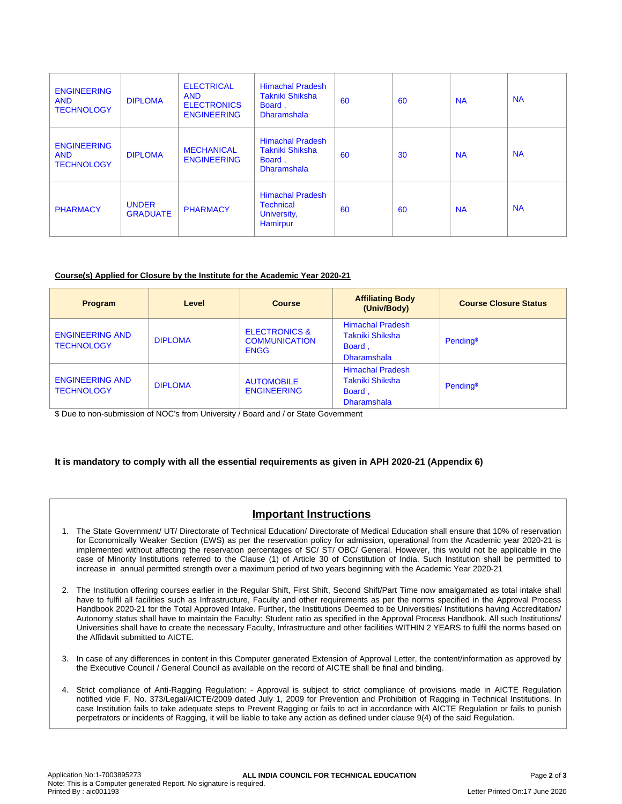| <b>ENGINEERING</b><br><b>AND</b><br><b>TECHNOLOGY</b> | <b>DIPLOMA</b>                  | <b>ELECTRICAL</b><br><b>AND</b><br><b>ELECTRONICS</b><br><b>ENGINEERING</b> | <b>Himachal Pradesh</b><br><b>Takniki Shiksha</b><br>Board,<br><b>Dharamshala</b> | 60 | 60 | <b>NA</b> | <b>NA</b> |
|-------------------------------------------------------|---------------------------------|-----------------------------------------------------------------------------|-----------------------------------------------------------------------------------|----|----|-----------|-----------|
| <b>ENGINEERING</b><br><b>AND</b><br><b>TECHNOLOGY</b> | <b>DIPLOMA</b>                  | <b>MECHANICAL</b><br><b>ENGINEERING</b>                                     | <b>Himachal Pradesh</b><br>Takniki Shiksha<br>Board,<br><b>Dharamshala</b>        | 60 | 30 | <b>NA</b> | <b>NA</b> |
| <b>PHARMACY</b>                                       | <b>UNDER</b><br><b>GRADUATE</b> | <b>PHARMACY</b>                                                             | <b>Himachal Pradesh</b><br><b>Technical</b><br>University,<br>Hamirpur            | 60 | 60 | <b>NA</b> | <b>NA</b> |

### **Course(s) Applied for Closure by the Institute for the Academic Year 2020-21**

| <b>Program</b>                              | Level          | <b>Course</b>                                                   | <b>Affiliating Body</b><br>(Univ/Body)                                     | <b>Course Closure Status</b> |
|---------------------------------------------|----------------|-----------------------------------------------------------------|----------------------------------------------------------------------------|------------------------------|
| <b>ENGINEERING AND</b><br><b>TECHNOLOGY</b> | <b>DIPLOMA</b> | <b>ELECTRONICS &amp;</b><br><b>COMMUNICATION</b><br><b>ENGG</b> | <b>Himachal Pradesh</b><br>Takniki Shiksha<br>Board,<br><b>Dharamshala</b> | Pending <sup>\$</sup>        |
| <b>ENGINEERING AND</b><br><b>TECHNOLOGY</b> | <b>DIPLOMA</b> | <b>AUTOMOBILE</b><br><b>ENGINEERING</b>                         | <b>Himachal Pradesh</b><br>Takniki Shiksha<br>Board,<br><b>Dharamshala</b> | Pending <sup>\$</sup>        |

\$ Due to non-submission of NOC's from University / Board and / or State Government

### **It is mandatory to comply with all the essential requirements as given in APH 2020-21 (Appendix 6)**

## **Important Instructions**

- 1. The State Government/ UT/ Directorate of Technical Education/ Directorate of Medical Education shall ensure that 10% of reservation for Economically Weaker Section (EWS) as per the reservation policy for admission, operational from the Academic year 2020-21 is implemented without affecting the reservation percentages of SC/ ST/ OBC/ General. However, this would not be applicable in the case of Minority Institutions referred to the Clause (1) of Article 30 of Constitution of India. Such Institution shall be permitted to increase in annual permitted strength over a maximum period of two years beginning with the Academic Year 2020-21
- 2. The Institution offering courses earlier in the Regular Shift, First Shift, Second Shift/Part Time now amalgamated as total intake shall have to fulfil all facilities such as Infrastructure, Faculty and other requirements as per the norms specified in the Approval Process Handbook 2020-21 for the Total Approved Intake. Further, the Institutions Deemed to be Universities/ Institutions having Accreditation/ Autonomy status shall have to maintain the Faculty: Student ratio as specified in the Approval Process Handbook. All such Institutions/ Universities shall have to create the necessary Faculty, Infrastructure and other facilities WITHIN 2 YEARS to fulfil the norms based on the Affidavit submitted to AICTE.
- 3. In case of any differences in content in this Computer generated Extension of Approval Letter, the content/information as approved by the Executive Council / General Council as available on the record of AICTE shall be final and binding.
- 4. Strict compliance of Anti-Ragging Regulation: Approval is subject to strict compliance of provisions made in AICTE Regulation notified vide F. No. 373/Legal/AICTE/2009 dated July 1, 2009 for Prevention and Prohibition of Ragging in Technical Institutions. In case Institution fails to take adequate steps to Prevent Ragging or fails to act in accordance with AICTE Regulation or fails to punish perpetrators or incidents of Ragging, it will be liable to take any action as defined under clause 9(4) of the said Regulation.